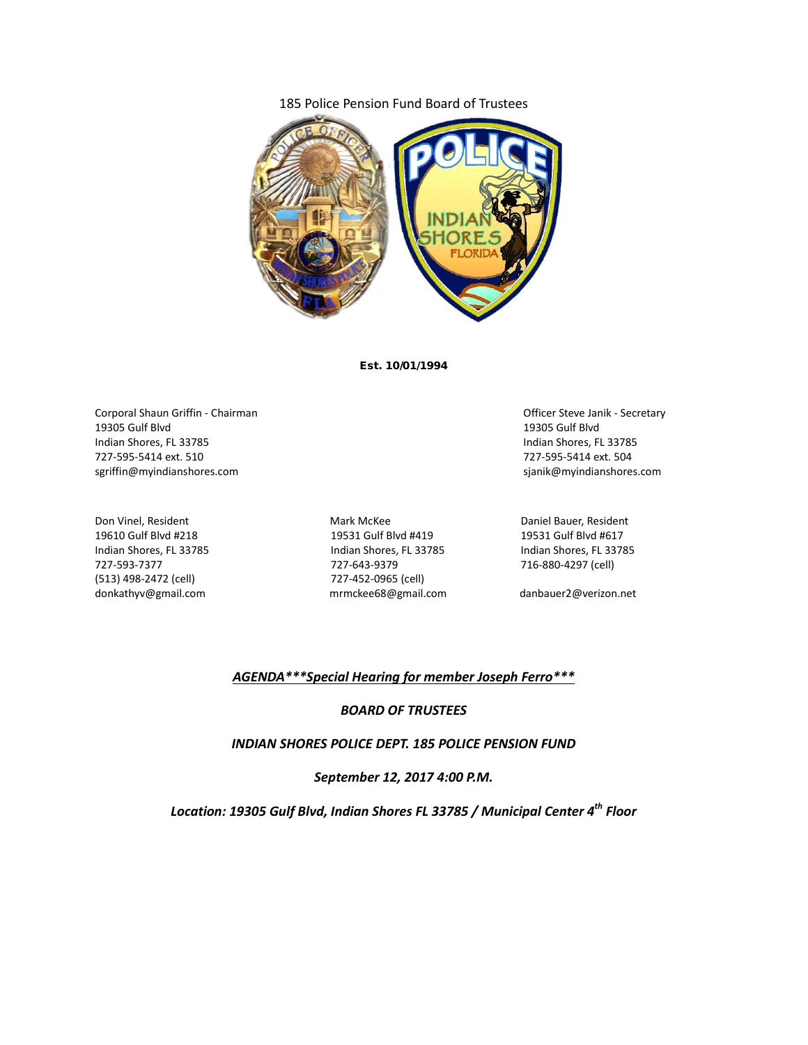## 185 Police Pension Fund Board of Trustees



Est. 10/01/1994

Corporal Shaun Griffin - Chairman Company of the Corporal Shaun Griffin - Chairman Company Company Company Company Company Company Company Company Company Company Company Company Company Company Company Company Company Com 19305 Gulf Blvd 19305 Gulf Blvd Indian Shores, FL 33785 Indian Shores, FL 33785 727-595-5414 ext. 510 727-595-5414 ext. 504 sgriffin@myindianshores.com sjanik@myindianshores.com

(513) 498-2472 (cell) 727-452-0965 (cell) donkathyv@gmail.com mrmckee68@gmail.com danbauer2@verizon.net

Don Vinel, Resident The Control of Mark McKee Mark McKee Daniel Bauer, Resident 19610 Gulf Blvd #218 19531 Gulf Blvd #419 19531 Gulf Blvd #617 Indian Shores, FL 33785 Indian Shores, FL 33785 Indian Shores, FL 33785 727-593-7377 727-643-9379 716-880-4297 (cell)

### *AGENDA\*\*\*Special Hearing for member Joseph Ferro\*\*\**

#### *BOARD OF TRUSTEES*

*INDIAN SHORES POLICE DEPT. 185 POLICE PENSION FUND*

*September 12, 2017 4:00 P.M.*

*Location: 19305 Gulf Blvd, Indian Shores FL 33785 / Municipal Center 4th Floor*